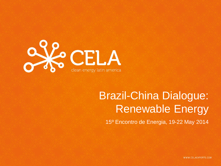

# Brazil-China Dialogue: Renewable Energy

15º Encontro de Energia, 19-22 May 2014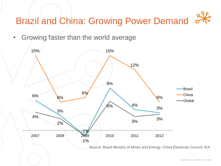# Brazil and China: Growing Power Demand

• Growing faster than the world average

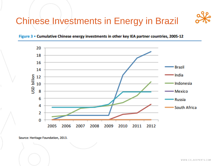





Source: Heritage Foundation, 2013.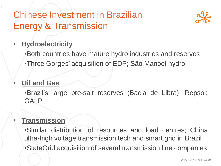## Chinese Investment in Brazilian Energy & Transmission



### • **Hydroelectricity**

- •Both countries have mature hydro industries and reserves
- •Three Gorges' acquisition of EDP; São Manoel hydro

#### • **Oil and Gas**

•Brazil's large pre-salt reserves (Bacia de Libra); Repsol; GALP

#### • **Transmission**

•Similar distribution of resources and load centres; China ultra-high voltage transmission tech and smart grid in Brazil •StateGrid acquisition of several transmission line companies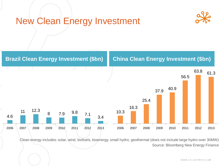### New Clean Energy Investment





Clean energy includes: solar, wind, biofuels, bioenergy, small hydro, geothermal (does not include large hydro over 30MW) Source: Bloomberg New Energy Finance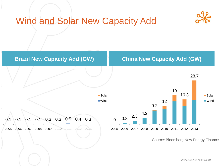



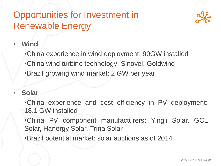## Opportunities for Investment in Renewable Energy



### • **Wind**

•China experience in wind deployment: 90GW installed

- •China wind turbine technology: Sinovel, Goldwind
- •Brazil growing wind market: 2 GW per year

### • **Solar**

•China experience and cost efficiency in PV deployment: 18.1 GW installed

•China PV component manufacturers: Yingli Solar, GCL Solar, Hanergy Solar, Trina Solar

•Brazil potential market: solar auctions as of 2014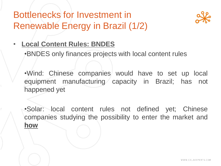## Bottlenecks for Investment in Renewable Energy in Brazil (1/2)



### • **Local Content Rules: BNDES**

•BNDES only finances projects with local content rules

•Wind: Chinese companies would have to set up local equipment manufacturing capacity in Brazil; has not happened yet

•Solar: local content rules not defined yet; Chinese companies studying the possibility to enter the market and **how**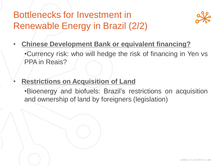## Bottlenecks for Investment in Renewable Energy in Brazil (2/2)



• **Chinese Development Bank or equivalent financing?**

•Currency risk: who will hedge the risk of financing in Yen vs PPA in Reais?

• **Restrictions on Acquisition of Land**

•Bioenergy and biofuels: Brazil's restrictions on acquisition and ownership of land by foreigners (legislation)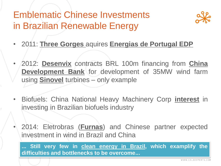## Emblematic Chinese Investments in Brazilian Renewable Energy



- 2011: **Three Gorges** aquires **Energias de Portugal EDP**
- 2012: **Desenvix** contracts BRL 100m financing from **China Development Bank** for development of 35MW wind farm using **Sinovel** turbines – only example
- Biofuels: China National Heavy Machinery Corp **interest** in investing in Brazilian biofuels industry
	- 2014: Eletrobras (**Furnas**) and Chinese partner expected investment in wind in Brazil and China

**... Still very few in clean energy in Brazil, which examplify the difficulties and bottlenecks to be overcome...**